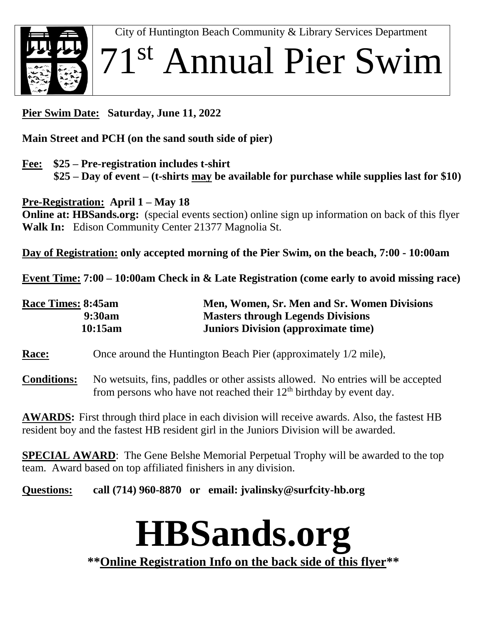City of Huntington Beach Community & Library Services Department



## 71st Annual Pier Swim

**Pier Swim Date: Saturday, June 11, 2022**

**Main Street and PCH (on the sand south side of pier)**

**Fee: \$25 – Pre-registration includes t-shirt \$25 – Day of event – (t-shirts may be available for purchase while supplies last for \$10)**

**Pre-Registration: April 1 – May 18 Online at: HBSands.org:** (special events section) online sign up information on back of this flyer **Walk In:** Edison Community Center 21377 Magnolia St.

**Day of Registration: only accepted morning of the Pier Swim, on the beach, 7:00 - 10:00am**

**Event Time: 7:00 – 10:00am Check in & Late Registration (come early to avoid missing race)**

| Race Times: 8:45am |                                                                 | Men, Women, Sr. Men and Sr. Women Divisions |  |
|--------------------|-----------------------------------------------------------------|---------------------------------------------|--|
|                    | 9:30am                                                          | <b>Masters through Legends Divisions</b>    |  |
|                    | 10:15am                                                         | <b>Juniors Division (approximate time)</b>  |  |
| Race:              | Once around the Huntington Beach Pier (approximately 1/2 mile), |                                             |  |

**Conditions:** No wetsuits, fins, paddles or other assists allowed. No entries will be accepted from persons who have not reached their  $12<sup>th</sup>$  birthday by event day.

**AWARDS:** First through third place in each division will receive awards. Also, the fastest HB resident boy and the fastest HB resident girl in the Juniors Division will be awarded.

**SPECIAL AWARD:** The Gene Belshe Memorial Perpetual Trophy will be awarded to the top team. Award based on top affiliated finishers in any division.

**Questions: call (714) 960-8870 or email: jvalinsky@surfcity-hb.org**